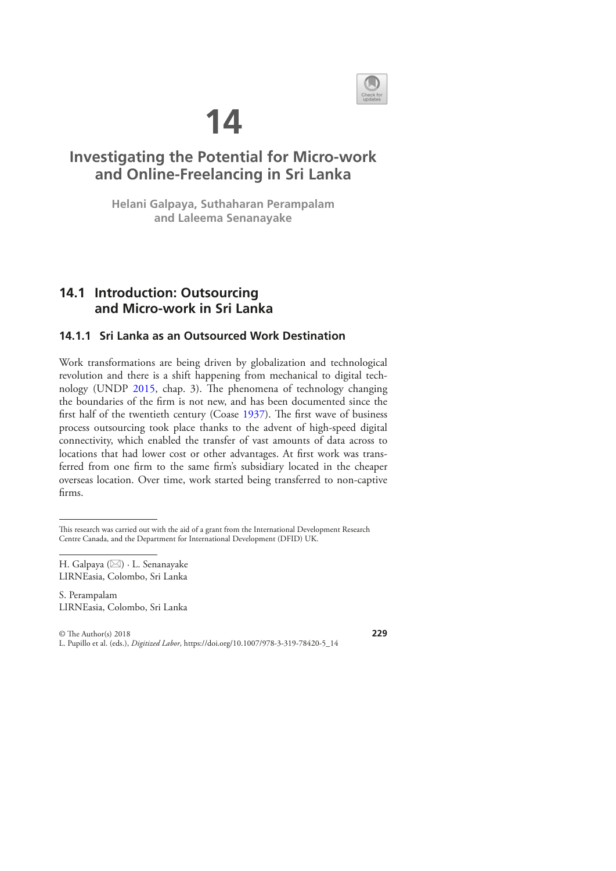

# **14**

# **Investigating the Potential for Micro-work and Online-Freelancing in Sri Lanka**

**Helani Galpaya, Suthaharan Perampalam and Laleema Senanayake**

# **14.1 Introduction: Outsourcing and Micro-work in Sri Lanka**

# **14.1.1 Sri Lanka as an Outsourced Work Destination**

Work transformations are being driven by globalization and technological revolution and there is a shift happening from mechanical to digital technology (UNDP 2015, chap. 3). The phenomena of technology changing the boundaries of the firm is not new, and has been documented since the first half of the twentieth century (Coase 1937). The first wave of business process outsourcing took place thanks to the advent of high-speed digital connectivity, which enabled the transfer of vast amounts of data across to locations that had lower cost or other advantages. At first work was transferred from one firm to the same firm's subsidiary located in the cheaper overseas location. Over time, work started being transferred to non-captive firms.

H. Galpaya (⊠) · L. Senanayake LIRNEasia, Colombo, Sri Lanka

S. Perampalam LIRNEasia, Colombo, Sri Lanka

© !e Author(s) 2018 **229** L. Pupillo et al. (eds.), *Digitized Labor*, https://doi.org/10.1007/978-3-319-78420-5\_14

This research was carried out with the aid of a grant from the International Development Research Centre Canada, and the Department for International Development (DFID) UK.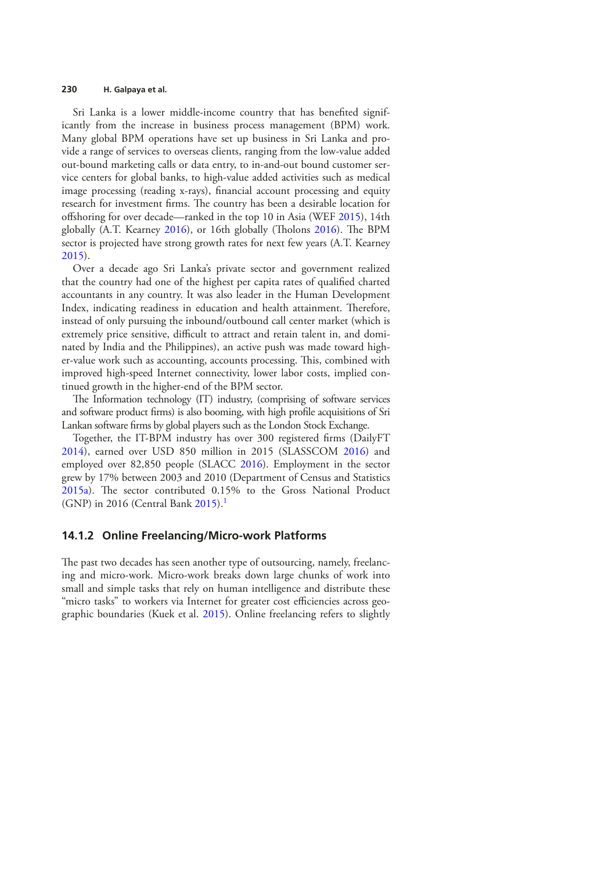Sri Lanka is a lower middle-income country that has benefited significantly from the increase in business process management (BPM) work. Many global BPM operations have set up business in Sri Lanka and provide a range of services to overseas clients, ranging from the low-value added out-bound marketing calls or data entry, to in-and-out bound customer service centers for global banks, to high-value added activities such as medical image processing (reading x-rays), financial account processing and equity research for investment firms. The country has been a desirable location for offshoring for over decade—ranked in the top 10 in Asia (WEF 2015), 14th globally (A.T. Kearney  $2016$ ), or 16th globally (Tholons  $2016$ ). The BPM sector is projected have strong growth rates for next few years (A.T. Kearney 2015).

Over a decade ago Sri Lanka's private sector and government realized that the country had one of the highest per capita rates of qualified charted accountants in any country. It was also leader in the Human Development Index, indicating readiness in education and health attainment. Therefore, instead of only pursuing the inbound/outbound call center market (which is extremely price sensitive, difficult to attract and retain talent in, and dominated by India and the Philippines), an active push was made toward higher-value work such as accounting, accounts processing. This, combined with improved high-speed Internet connectivity, lower labor costs, implied continued growth in the higher-end of the BPM sector.

The Information technology (IT) industry, (comprising of software services and software product firms) is also booming, with high profile acquisitions of Sri Lankan software firms by global players such as the London Stock Exchange.

Together, the IT-BPM industry has over 300 registered firms (DailyFT 2014), earned over USD 850 million in 2015 (SLASSCOM 2016) and employed over 82,850 people (SLACC 2016). Employment in the sector grew by 17% between 2003 and 2010 (Department of Census and Statistics  $2015a$ ). The sector contributed  $0.15%$  to the Gross National Product (GNP) in 2016 (Central Bank 2015).1

#### **14.1.2 Online Freelancing/Micro-work Platforms**

The past two decades has seen another type of outsourcing, namely, freelancing and micro-work. Micro-work breaks down large chunks of work into small and simple tasks that rely on human intelligence and distribute these "micro tasks" to workers via Internet for greater cost efficiencies across geographic boundaries (Kuek et al. 2015). Online freelancing refers to slightly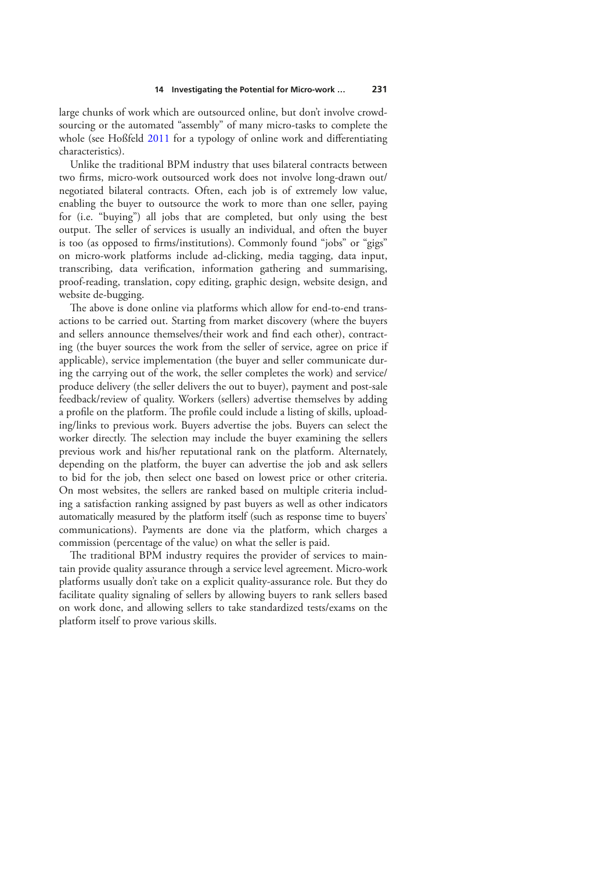large chunks of work which are outsourced online, but don't involve crowdsourcing or the automated "assembly" of many micro-tasks to complete the whole (see Hoßfeld 2011 for a typology of online work and differentiating characteristics).

Unlike the traditional BPM industry that uses bilateral contracts between two firms, micro-work outsourced work does not involve long-drawn out/ negotiated bilateral contracts. Often, each job is of extremely low value, enabling the buyer to outsource the work to more than one seller, paying for (i.e. "buying") all jobs that are completed, but only using the best output. The seller of services is usually an individual, and often the buyer is too (as opposed to firms/institutions). Commonly found "jobs" or "gigs" on micro-work platforms include ad-clicking, media tagging, data input, transcribing, data verification, information gathering and summarising, proof-reading, translation, copy editing, graphic design, website design, and website de-bugging.

The above is done online via platforms which allow for end-to-end transactions to be carried out. Starting from market discovery (where the buyers and sellers announce themselves/their work and find each other), contracting (the buyer sources the work from the seller of service, agree on price if applicable), service implementation (the buyer and seller communicate during the carrying out of the work, the seller completes the work) and service/ produce delivery (the seller delivers the out to buyer), payment and post-sale feedback/review of quality. Workers (sellers) advertise themselves by adding a profile on the platform. The profile could include a listing of skills, uploading/links to previous work. Buyers advertise the jobs. Buyers can select the worker directly. The selection may include the buyer examining the sellers previous work and his/her reputational rank on the platform. Alternately, depending on the platform, the buyer can advertise the job and ask sellers to bid for the job, then select one based on lowest price or other criteria. On most websites, the sellers are ranked based on multiple criteria including a satisfaction ranking assigned by past buyers as well as other indicators automatically measured by the platform itself (such as response time to buyers' communications). Payments are done via the platform, which charges a commission (percentage of the value) on what the seller is paid.

The traditional BPM industry requires the provider of services to maintain provide quality assurance through a service level agreement. Micro-work platforms usually don't take on a explicit quality-assurance role. But they do facilitate quality signaling of sellers by allowing buyers to rank sellers based on work done, and allowing sellers to take standardized tests/exams on the platform itself to prove various skills.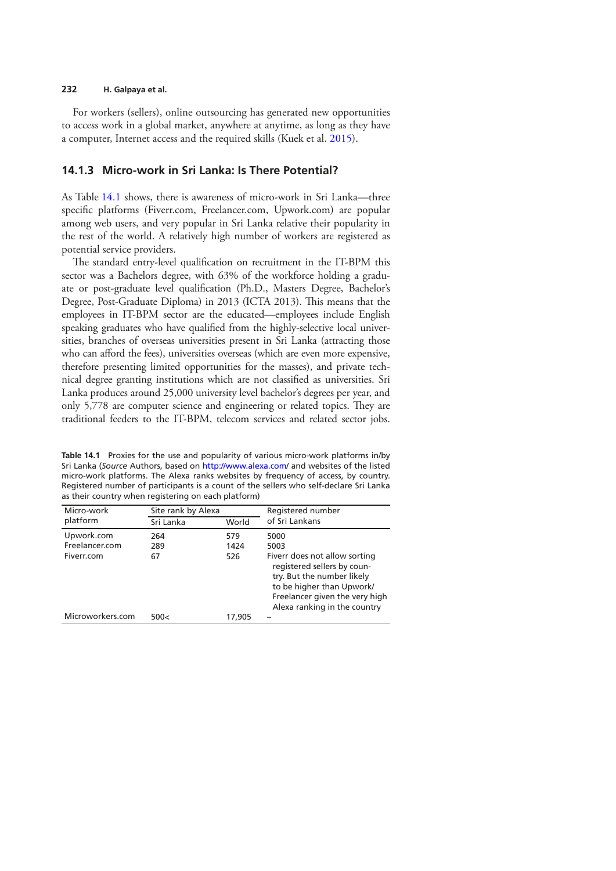For workers (sellers), online outsourcing has generated new opportunities to access work in a global market, anywhere at anytime, as long as they have a computer, Internet access and the required skills (Kuek et al. 2015).

## **14.1.3 Micro-work in Sri Lanka: Is There Potential?**

As Table 14.1 shows, there is awareness of micro-work in Sri Lanka—three specific platforms (Fiverr.com, Freelancer.com, Upwork.com) are popular among web users, and very popular in Sri Lanka relative their popularity in the rest of the world. A relatively high number of workers are registered as potential service providers.

The standard entry-level qualification on recruitment in the IT-BPM this sector was a Bachelors degree, with 63% of the workforce holding a graduate or post-graduate level qualification (Ph.D., Masters Degree, Bachelor's Degree, Post-Graduate Diploma) in 2013 (ICTA 2013). This means that the employees in IT-BPM sector are the educated—employees include English speaking graduates who have qualified from the highly-selective local universities, branches of overseas universities present in Sri Lanka (attracting those who can afford the fees), universities overseas (which are even more expensive, therefore presenting limited opportunities for the masses), and private technical degree granting institutions which are not classified as universities. Sri Lanka produces around 25,000 university level bachelor's degrees per year, and only 5,778 are computer science and engineering or related topics. They are traditional feeders to the IT-BPM, telecom services and related sector jobs.

**Table 14.1** Proxies for the use and popularity of various micro-work platforms in/by Sri Lanka (*Source* Authors, based on http://www.alexa.com/ and websites of the listed micro-work platforms. The Alexa ranks websites by frequency of access, by country. Registered number of participants is a count of the sellers who self-declare Sri Lanka as their country when registering on each platform)

| Micro-work                   | Site rank by Alexa |             | Registered number                                                                                                                                                                         |  |  |
|------------------------------|--------------------|-------------|-------------------------------------------------------------------------------------------------------------------------------------------------------------------------------------------|--|--|
| platform                     | Sri Lanka          | World       | of Sri Lankans                                                                                                                                                                            |  |  |
| Upwork.com<br>Freelancer.com | 264<br>289         | 579<br>1424 | 5000<br>5003                                                                                                                                                                              |  |  |
| Fiverr.com                   | 67                 | 526         | Fiverr does not allow sorting<br>registered sellers by coun-<br>try. But the number likely<br>to be higher than Upwork/<br>Freelancer given the very high<br>Alexa ranking in the country |  |  |
| Microworkers.com             | 500<               | 17,905      |                                                                                                                                                                                           |  |  |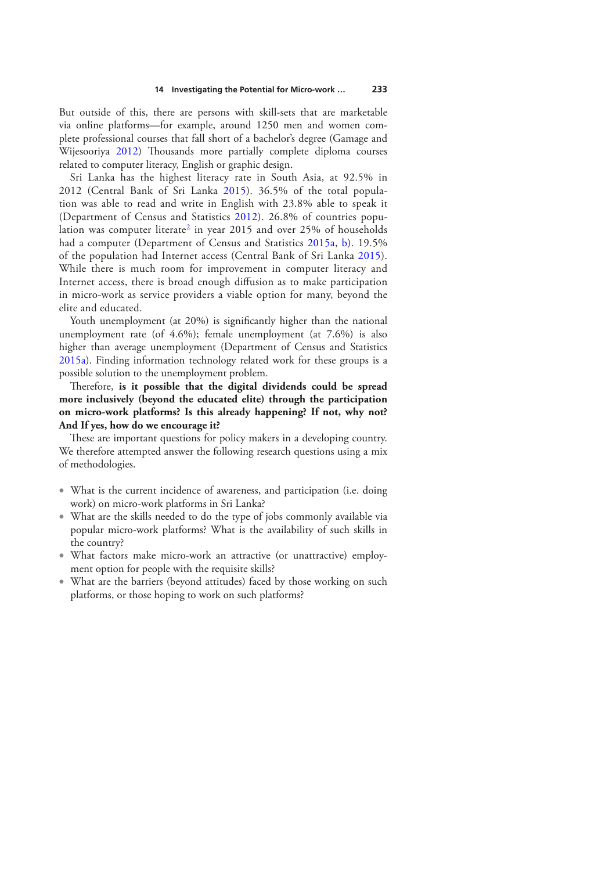But outside of this, there are persons with skill-sets that are marketable via online platforms—for example, around 1250 men and women complete professional courses that fall short of a bachelor's degree (Gamage and Wijesooriya 2012) Thousands more partially complete diploma courses related to computer literacy, English or graphic design.

Sri Lanka has the highest literacy rate in South Asia, at 92.5% in 2012 (Central Bank of Sri Lanka 2015). 36.5% of the total population was able to read and write in English with 23.8% able to speak it (Department of Census and Statistics 2012). 26.8% of countries population was computer literate<sup>2</sup> in year 2015 and over 25% of households had a computer (Department of Census and Statistics 2015a, b). 19.5% of the population had Internet access (Central Bank of Sri Lanka 2015). While there is much room for improvement in computer literacy and Internet access, there is broad enough diffusion as to make participation in micro-work as service providers a viable option for many, beyond the elite and educated.

Youth unemployment (at 20%) is significantly higher than the national unemployment rate (of 4.6%); female unemployment (at 7.6%) is also higher than average unemployment (Department of Census and Statistics 2015a). Finding information technology related work for these groups is a possible solution to the unemployment problem.

Therefore, is it possible that the digital dividends could be spread **more inclusively (beyond the educated elite) through the participation on micro-work platforms? Is this already happening? If not, why not? And If yes, how do we encourage it?**

These are important questions for policy makers in a developing country. We therefore attempted answer the following research questions using a mix of methodologies.

- What is the current incidence of awareness, and participation (i.e. doing work) on micro-work platforms in Sri Lanka?
- x What are the skills needed to do the type of jobs commonly available via popular micro-work platforms? What is the availability of such skills in the country?
- x What factors make micro-work an attractive (or unattractive) employment option for people with the requisite skills?
- What are the barriers (beyond attitudes) faced by those working on such platforms, or those hoping to work on such platforms?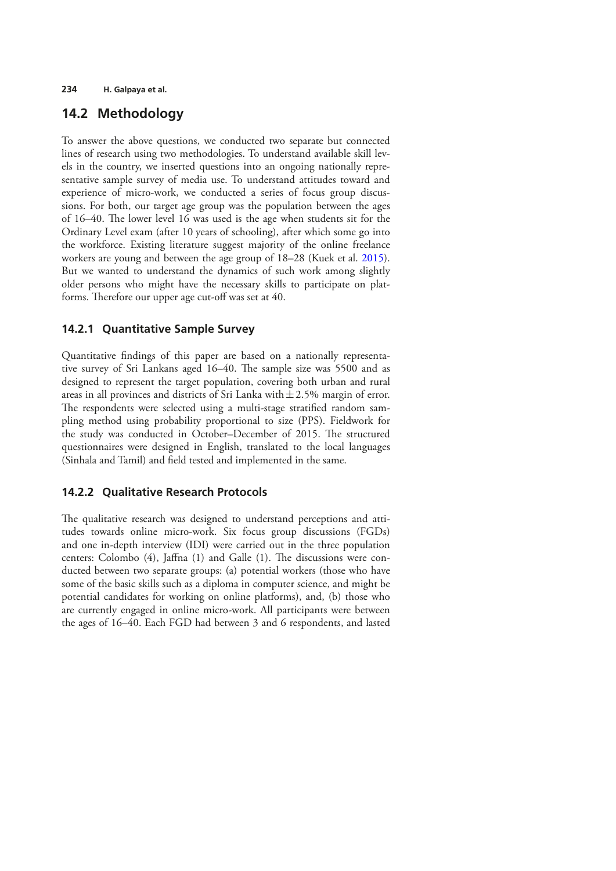# **14.2 Methodology**

To answer the above questions, we conducted two separate but connected lines of research using two methodologies. To understand available skill levels in the country, we inserted questions into an ongoing nationally representative sample survey of media use. To understand attitudes toward and experience of micro-work, we conducted a series of focus group discussions. For both, our target age group was the population between the ages of 16–40. The lower level 16 was used is the age when students sit for the Ordinary Level exam (after 10 years of schooling), after which some go into the workforce. Existing literature suggest majority of the online freelance workers are young and between the age group of 18–28 (Kuek et al. 2015). But we wanted to understand the dynamics of such work among slightly older persons who might have the necessary skills to participate on platforms. Therefore our upper age cut-off was set at 40.

## **14.2.1 Quantitative Sample Survey**

Quantitative findings of this paper are based on a nationally representative survey of Sri Lankans aged 16–40. The sample size was 5500 and as designed to represent the target population, covering both urban and rural areas in all provinces and districts of Sri Lanka with $\pm$  2.5% margin of error. The respondents were selected using a multi-stage stratified random sampling method using probability proportional to size (PPS). Fieldwork for the study was conducted in October–December of 2015. The structured questionnaires were designed in English, translated to the local languages (Sinhala and Tamil) and field tested and implemented in the same.

## **14.2.2 Qualitative Research Protocols**

The qualitative research was designed to understand perceptions and attitudes towards online micro-work. Six focus group discussions (FGDs) and one in-depth interview (IDI) were carried out in the three population centers: Colombo  $(4)$ , Jaffna  $(1)$  and Galle  $(1)$ . The discussions were conducted between two separate groups: (a) potential workers (those who have some of the basic skills such as a diploma in computer science, and might be potential candidates for working on online platforms), and, (b) those who are currently engaged in online micro-work. All participants were between the ages of 16–40. Each FGD had between 3 and 6 respondents, and lasted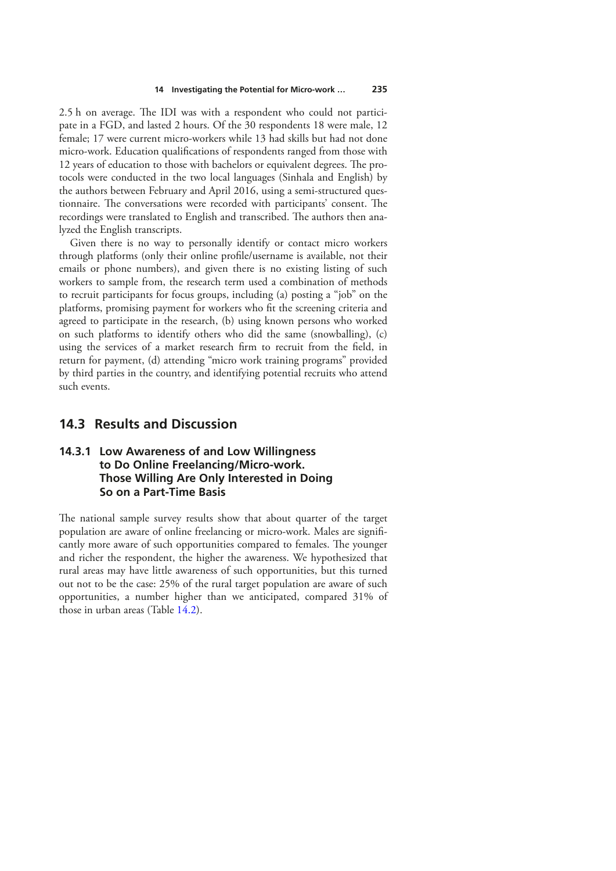$2.5$  h on average. The IDI was with a respondent who could not participate in a FGD, and lasted 2 hours. Of the 30 respondents 18 were male, 12 female; 17 were current micro-workers while 13 had skills but had not done micro-work. Education qualifications of respondents ranged from those with 12 years of education to those with bachelors or equivalent degrees. The protocols were conducted in the two local languages (Sinhala and English) by the authors between February and April 2016, using a semi-structured questionnaire. The conversations were recorded with participants' consent. The recordings were translated to English and transcribed. The authors then analyzed the English transcripts.

Given there is no way to personally identify or contact micro workers through platforms (only their online profile/username is available, not their emails or phone numbers), and given there is no existing listing of such workers to sample from, the research term used a combination of methods to recruit participants for focus groups, including (a) posting a "job" on the platforms, promising payment for workers who fit the screening criteria and agreed to participate in the research, (b) using known persons who worked on such platforms to identify others who did the same (snowballing), (c) using the services of a market research firm to recruit from the field, in return for payment, (d) attending "micro work training programs" provided by third parties in the country, and identifying potential recruits who attend such events.

# **14.3 Results and Discussion**

## **14.3.1 Low Awareness of and Low Willingness to Do Online Freelancing/Micro-work. Those Willing Are Only Interested in Doing So on a Part-Time Basis**

The national sample survey results show that about quarter of the target population are aware of online freelancing or micro-work. Males are significantly more aware of such opportunities compared to females. The younger and richer the respondent, the higher the awareness. We hypothesized that rural areas may have little awareness of such opportunities, but this turned out not to be the case: 25% of the rural target population are aware of such opportunities, a number higher than we anticipated, compared 31% of those in urban areas (Table 14.2).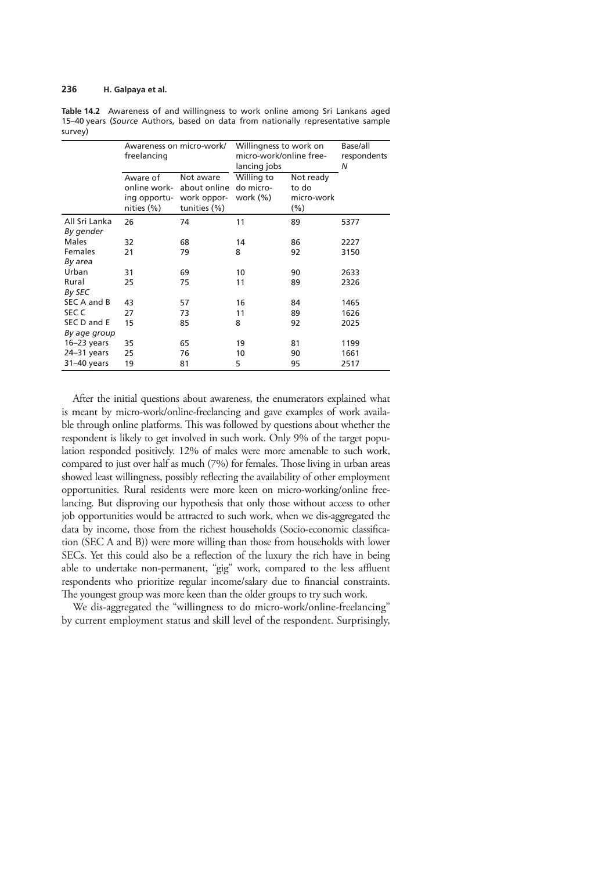**Table 14.2** Awareness of and willingness to work online among Sri Lankans aged 15–40 years (*Source* Authors, based on data from nationally representative sample survey)

|                             | freelancing                                            | Awareness on micro-work/                                 |                                        | Willingness to work on<br>micro-work/online free-<br>lancing jobs |      |  |
|-----------------------------|--------------------------------------------------------|----------------------------------------------------------|----------------------------------------|-------------------------------------------------------------------|------|--|
|                             | Aware of<br>online work-<br>ing opportu-<br>nities (%) | Not aware<br>about online<br>work oppor-<br>tunities (%) | Willing to<br>do micro-<br>work $(\%)$ | Not ready<br>to do<br>micro-work<br>$(\% )$                       |      |  |
| All Sri Lanka<br>By gender  | 26                                                     | 74                                                       | 11                                     | 89                                                                | 5377 |  |
| Males                       | 32                                                     | 68                                                       | 14                                     | 86                                                                | 2227 |  |
| Females<br>By area          | 21                                                     | 79                                                       | 8                                      | 92                                                                | 3150 |  |
| Urban                       | 31                                                     | 69                                                       | 10                                     | 90                                                                | 2633 |  |
| Rural<br>By SEC             | 25                                                     | 75                                                       | 11                                     | 89                                                                | 2326 |  |
| SEC A and B                 | 43                                                     | 57                                                       | 16                                     | 84                                                                | 1465 |  |
| SEC C                       | 27                                                     | 73                                                       | 11                                     | 89                                                                | 1626 |  |
| SEC D and E<br>By age group | 15                                                     | 85                                                       | 8                                      | 92                                                                | 2025 |  |
| $16-23$ years               | 35                                                     | 65                                                       | 19                                     | 81                                                                | 1199 |  |
| $24-31$ years               | 25                                                     | 76                                                       | 10                                     | 90                                                                | 1661 |  |
| 31-40 years                 | 19                                                     | 81                                                       | 5                                      | 95                                                                | 2517 |  |

After the initial questions about awareness, the enumerators explained what is meant by micro-work/online-freelancing and gave examples of work available through online platforms. This was followed by questions about whether the respondent is likely to get involved in such work. Only 9% of the target population responded positively. 12% of males were more amenable to such work, compared to just over half as much (7%) for females. Those living in urban areas showed least willingness, possibly reflecting the availability of other employment opportunities. Rural residents were more keen on micro-working/online freelancing. But disproving our hypothesis that only those without access to other job opportunities would be attracted to such work, when we dis-aggregated the data by income, those from the richest households (Socio-economic classification (SEC A and B)) were more willing than those from households with lower SECs. Yet this could also be a reflection of the luxury the rich have in being able to undertake non-permanent, "gig" work, compared to the less affluent respondents who prioritize regular income/salary due to financial constraints. The youngest group was more keen than the older groups to try such work.

We dis-aggregated the "willingness to do micro-work/online-freelancing" by current employment status and skill level of the respondent. Surprisingly,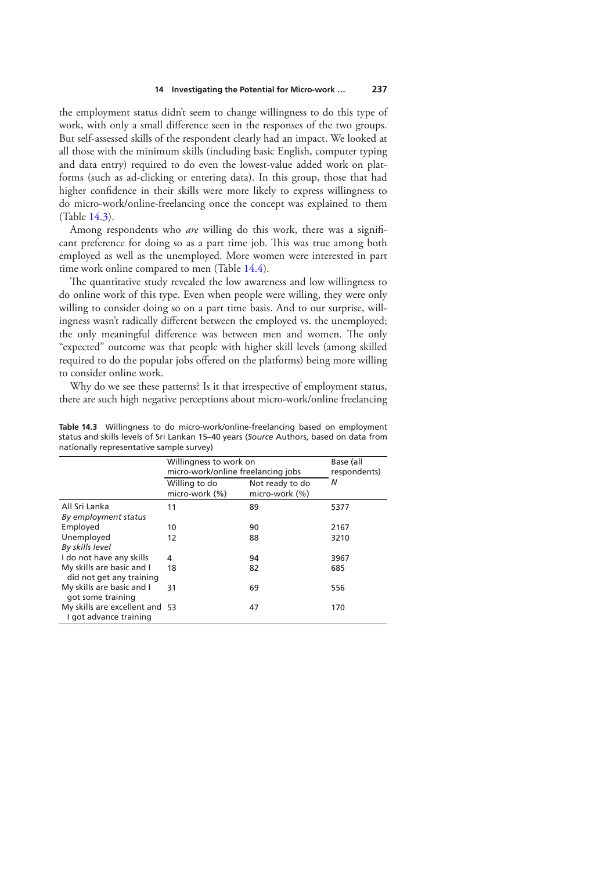the employment status didn't seem to change willingness to do this type of work, with only a small difference seen in the responses of the two groups. But self-assessed skills of the respondent clearly had an impact. We looked at all those with the minimum skills (including basic English, computer typing and data entry) required to do even the lowest-value added work on platforms (such as ad-clicking or entering data). In this group, those that had higher confidence in their skills were more likely to express willingness to do micro-work/online-freelancing once the concept was explained to them (Table 14.3).

Among respondents who *are* willing do this work, there was a significant preference for doing so as a part time job. This was true among both employed as well as the unemployed. More women were interested in part time work online compared to men (Table 14.4).

The quantitative study revealed the low awareness and low willingness to do online work of this type. Even when people were willing, they were only willing to consider doing so on a part time basis. And to our surprise, willingness wasn't radically different between the employed vs. the unemployed; the only meaningful difference was between men and women. The only "expected" outcome was that people with higher skill levels (among skilled required to do the popular jobs offered on the platforms) being more willing to consider online work.

Why do we see these patterns? Is it that irrespective of employment status, there are such high negative perceptions about micro-work/online freelancing

|  | Table 14.3 Willingness to do micro-work/online-freelancing based on employment         |  |  |  |  |  |
|--|----------------------------------------------------------------------------------------|--|--|--|--|--|
|  | status and skills levels of Sri Lankan 15–40 years (Source Authors, based on data from |  |  |  |  |  |
|  | nationally representative sample survey)                                               |  |  |  |  |  |

|                                                          | Willingness to work on<br>micro-work/online freelancing jobs |                                      | Base (all<br>respondents) |  |
|----------------------------------------------------------|--------------------------------------------------------------|--------------------------------------|---------------------------|--|
|                                                          | Willing to do<br>micro-work (%)                              | Not ready to do<br>micro-work $(\%)$ | N                         |  |
| All Sri Lanka                                            | 11                                                           | 89                                   | 5377                      |  |
| By employment status                                     |                                                              |                                      |                           |  |
| Employed                                                 | 10                                                           | 90                                   | 2167                      |  |
| Unemployed                                               | 12                                                           | 88                                   | 3210                      |  |
| By skills level                                          |                                                              |                                      |                           |  |
| I do not have any skills                                 | 4                                                            | 94                                   | 3967                      |  |
| My skills are basic and I<br>did not get any training    | 18                                                           | 82                                   | 685                       |  |
| My skills are basic and I<br>got some training           | 31                                                           | 69                                   | 556                       |  |
| My skills are excellent and 53<br>I got advance training |                                                              | 47                                   | 170                       |  |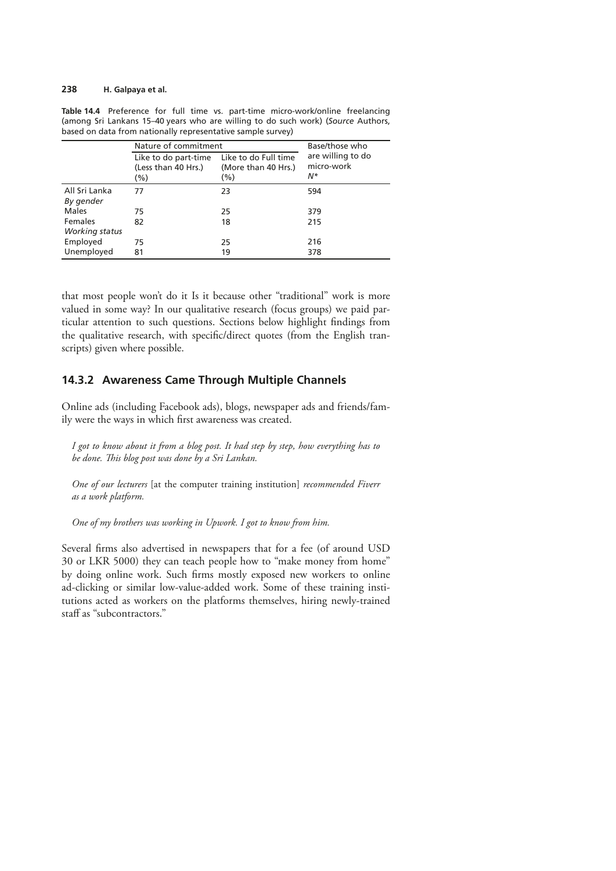|                            | Nature of commitment                                   | Base/those who                                         |                                       |  |  |  |
|----------------------------|--------------------------------------------------------|--------------------------------------------------------|---------------------------------------|--|--|--|
|                            | Like to do part-time<br>(Less than 40 Hrs.)<br>$(\% )$ | Like to do Full time<br>(More than 40 Hrs.)<br>$(\% )$ | are willing to do<br>micro-work<br>N* |  |  |  |
| All Sri Lanka<br>By gender | 77                                                     | 23                                                     | 594                                   |  |  |  |
| <b>Males</b>               | 75                                                     | 25                                                     | 379                                   |  |  |  |
| Females<br>Working status  | 82                                                     | 18                                                     | 215                                   |  |  |  |
| Employed                   | 75                                                     | 25                                                     | 216                                   |  |  |  |
| Unemployed                 | 81                                                     | 19                                                     | 378                                   |  |  |  |

**Table 14.4** Preference for full time vs. part-time micro-work/online freelancing (among Sri Lankans 15–40 years who are willing to do such work) (*Source* Authors, based on data from nationally representative sample survey)

that most people won't do it Is it because other "traditional" work is more valued in some way? In our qualitative research (focus groups) we paid particular attention to such questions. Sections below highlight findings from the qualitative research, with specific/direct quotes (from the English transcripts) given where possible.

## **14.3.2 Awareness Came Through Multiple Channels**

Online ads (including Facebook ads), blogs, newspaper ads and friends/family were the ways in which first awareness was created.

*I got to know about it from a blog post. It had step by step, how everything has to be done. !is blog post was done by a Sri Lankan.*

*One of our lecturers* [at the computer training institution] *recommended Fiverr as a work platform.*

*One of my brothers was working in Upwork. I got to know from him.*

Several firms also advertised in newspapers that for a fee (of around USD 30 or LKR 5000) they can teach people how to "make money from home" by doing online work. Such firms mostly exposed new workers to online ad-clicking or similar low-value-added work. Some of these training institutions acted as workers on the platforms themselves, hiring newly-trained staff as "subcontractors."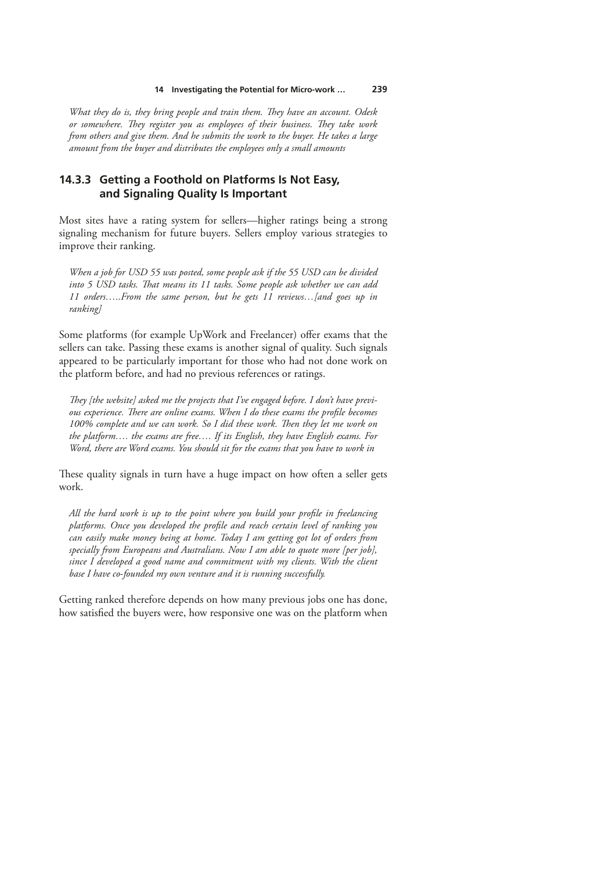*What they do is, they bring people and train them. !ey have an account. Odesk or somewhere. !ey register you as employees of their business. !ey take work from others and give them. And he submits the work to the buyer. He takes a large amount from the buyer and distributes the employees only a small amounts*

## **14.3.3 Getting a Foothold on Platforms Is Not Easy, and Signaling Quality Is Important**

Most sites have a rating system for sellers—higher ratings being a strong signaling mechanism for future buyers. Sellers employ various strategies to improve their ranking.

*When a job for USD 55 was posted, some people ask if the 55 USD can be divided into 5 USD tasks. !at means its 11 tasks. Some people ask whether we can add 11 orders…..From the same person, but he gets 11 reviews…[and goes up in ranking]*

Some platforms (for example UpWork and Freelancer) offer exams that the sellers can take. Passing these exams is another signal of quality. Such signals appeared to be particularly important for those who had not done work on the platform before, and had no previous references or ratings.

*!ey [the website] asked me the projects that I've engaged before. I don't have previous experience. !ere are online exams. When I do these exams the pro"le becomes 100% complete and we can work. So I did these work. !en they let me work on the platform…. the exams are free…. If its English, they have English exams. For Word, there are Word exams. You should sit for the exams that you have to work in*

These quality signals in turn have a huge impact on how often a seller gets work.

*All the hard work is up to the point where you build your pro"le in freelancing platforms. Once you developed the pro"le and reach certain level of ranking you can easily make money being at home. Today I am getting got lot of orders from specially from Europeans and Australians. Now I am able to quote more [per job], since I developed a good name and commitment with my clients. With the client base I have co*-*founded my own venture and it is running successfully.*

Getting ranked therefore depends on how many previous jobs one has done, how satisfied the buyers were, how responsive one was on the platform when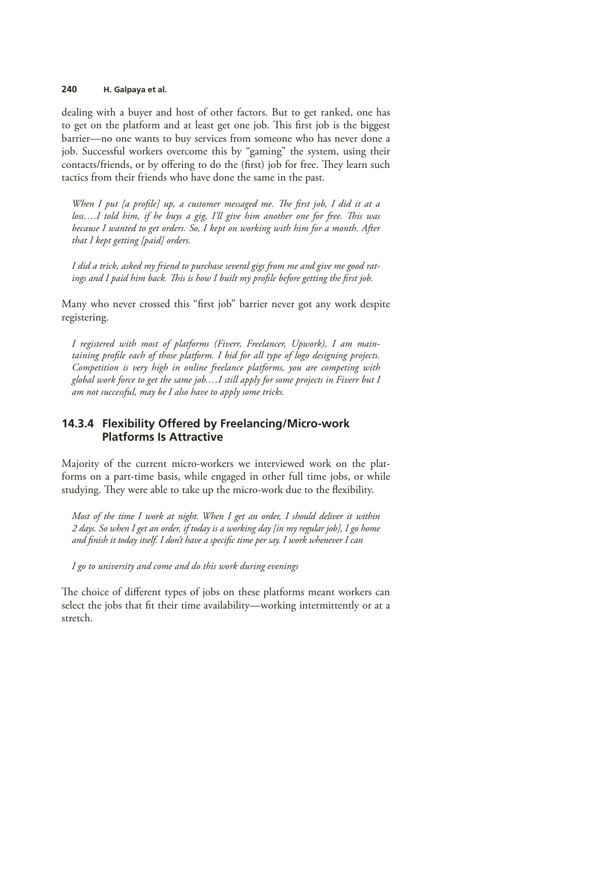dealing with a buyer and host of other factors. But to get ranked, one has to get on the platform and at least get one job. This first job is the biggest barrier—no one wants to buy services from someone who has never done a job. Successful workers overcome this by "gaming" the system, using their contacts/friends, or by offering to do the (first) job for free. They learn such tactics from their friends who have done the same in the past.

*When I put [a pro"le] up, a customer messaged me. !e "rst job, I did it at a loss….I told him, if he buys a gig, I'll give him another one for free. !is was because I wanted to get orders. So, I kept on working with him for a month. After that I kept getting [paid] orders.*

*I did a trick, asked my friend to purchase several gigs from me and give me good ratings and I paid him back. !is is how I built my pro"le before getting the "rst job.*

Many who never crossed this "first job" barrier never got any work despite registering.

*I registered with most of platforms (Fiverr, Freelancer, Upwork), I am maintaining pro"le each of those platform. I bid for all type of logo designing projects. Competition is very high in online freelance platforms, you are competing with global work force to get the same job.…I still apply for some projects in Fiverr but I am not successful, may be I also have to apply some tricks.*

## **14.3.4 Flexibility Offered by Freelancing/Micro-work Platforms Is Attractive**

Majority of the current micro-workers we interviewed work on the platforms on a part-time basis, while engaged in other full time jobs, or while studying. They were able to take up the micro-work due to the flexibility.

*Most of the time I work at night. When I get an order, I should deliver it within 2 days. So when I get an order, if today is a working day [in my regular job], I go home and "nish it today itself. I don't have a speci"c time per say. I work whenever I can*

*I go to university and come and do this work during evenings*

The choice of different types of jobs on these platforms meant workers can select the jobs that fit their time availability—working intermittently or at a stretch.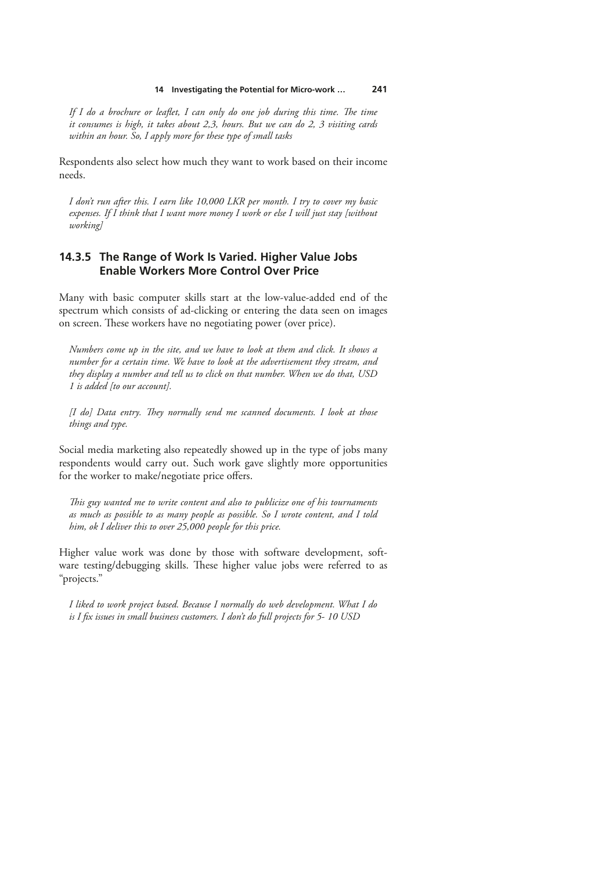*If I do a brochure or lea#et, I can only do one job during this time. !e time it consumes is high, it takes about 2,3, hours. But we can do 2, 3 visiting cards within an hour. So, I apply more for these type of small tasks*

Respondents also select how much they want to work based on their income needs.

*I don't run after this. I earn like 10,000 LKR per month. I try to cover my basic expenses. If I think that I want more money I work or else I will just stay [without working]*

## **14.3.5 The Range of Work Is Varied. Higher Value Jobs Enable Workers More Control Over Price**

Many with basic computer skills start at the low-value-added end of the spectrum which consists of ad-clicking or entering the data seen on images on screen. These workers have no negotiating power (over price).

*Numbers come up in the site, and we have to look at them and click. It shows a number for a certain time. We have to look at the advertisement they stream, and they display a number and tell us to click on that number. When we do that, USD 1 is added [to our account].*

*[I do] Data entry. !ey normally send me scanned documents. I look at those things and type.*

Social media marketing also repeatedly showed up in the type of jobs many respondents would carry out. Such work gave slightly more opportunities for the worker to make/negotiate price offers.

*!is guy wanted me to write content and also to publicize one of his tournaments as much as possible to as many people as possible. So I wrote content, and I told him, ok I deliver this to over 25,000 people for this price.*

Higher value work was done by those with software development, software testing/debugging skills. These higher value jobs were referred to as "projects."

*I liked to work project based. Because I normally do web development. What I do is I "x issues in small business customers. I don't do full projects for 5*- *10 USD*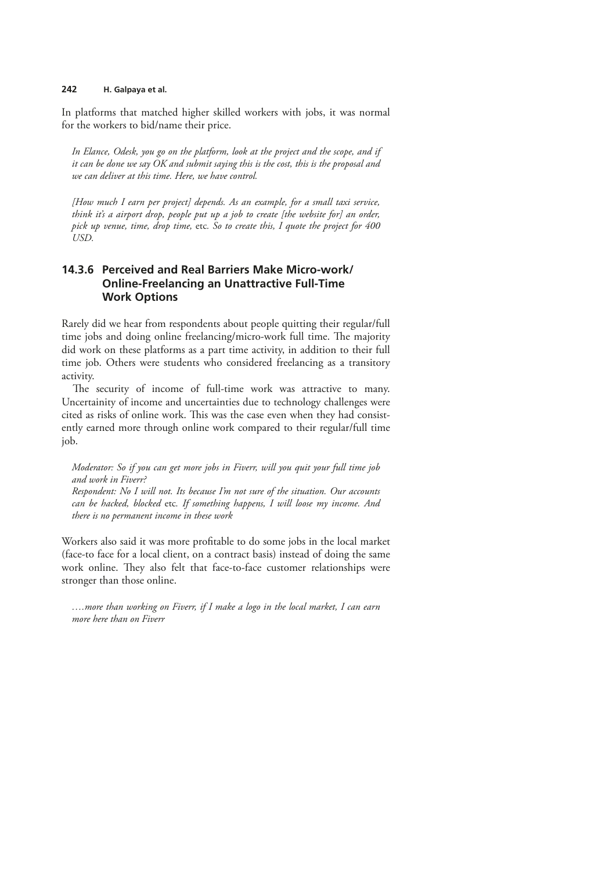In platforms that matched higher skilled workers with jobs, it was normal for the workers to bid/name their price.

*In Elance, Odesk, you go on the platform, look at the project and the scope, and if it can be done we say OK and submit saying this is the cost, this is the proposal and we can deliver at this time. Here, we have control.*

*[How much I earn per project] depends. As an example, for a small taxi service, think it's a airport drop, people put up a job to create [the website for] an order, pick up venue, time, drop time,* etc*. So to create this, I quote the project for 400 USD.*

## **14.3.6 Perceived and Real Barriers Make Micro-work/ Online-Freelancing an Unattractive Full-Time Work Options**

Rarely did we hear from respondents about people quitting their regular/full time jobs and doing online freelancing/micro-work full time. The majority did work on these platforms as a part time activity, in addition to their full time job. Others were students who considered freelancing as a transitory activity.

The security of income of full-time work was attractive to many. Uncertainity of income and uncertainties due to technology challenges were cited as risks of online work. This was the case even when they had consistently earned more through online work compared to their regular/full time job.

*Moderator: So if you can get more jobs in Fiverr, will you quit your full time job and work in Fiverr?*

*Respondent: No I will not. Its because I'm not sure of the situation. Our accounts can be hacked, blocked* etc*. If something happens, I will loose my income. And there is no permanent income in these work*

Workers also said it was more profitable to do some jobs in the local market (face-to face for a local client, on a contract basis) instead of doing the same work online. They also felt that face-to-face customer relationships were stronger than those online.

*….more than working on Fiverr, if I make a logo in the local market, I can earn more here than on Fiverr*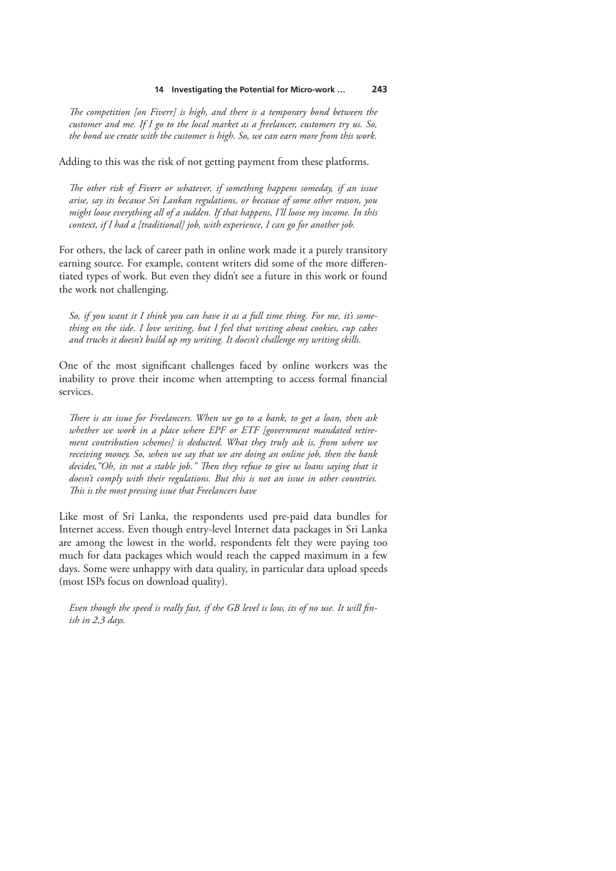*!e competition [on Fiverr] is high, and there is a temporary bond between the customer and me. If I go to the local market as a freelancer, customers try us. So, the bond we create with the customer is high. So, we can earn more from this work.*

Adding to this was the risk of not getting payment from these platforms.

*!e other risk of Fiverr or whatever, if something happens someday, if an issue arise, say its because Sri Lankan regulations, or because of some other reason, you might loose everything all of a sudden. If that happens, I'll loose my income. In this context, if I had a [traditional] job, with experience, I can go for another job.*

For others, the lack of career path in online work made it a purely transitory earning source. For example, content writers did some of the more differentiated types of work. But even they didn't see a future in this work or found the work not challenging.

*So, if you want it I think you can have it as a full time thing. For me, it's something on the side. I love writing, but I feel that writing about cookies, cup cakes and trucks it doesn't build up my writing. It doesn't challenge my writing skills.*

One of the most significant challenges faced by online workers was the inability to prove their income when attempting to access formal financial services.

*!ere is an issue for Freelancers. When we go to a bank, to get a loan, then ask whether we work in a place where EPF or ETF [government mandated retirement contribution schemes] is deducted. What they truly ask is, from where we receiving money. So, when we say that we are doing an online job, then the bank decides,"Oh, its not a stable job*.*" !en they refuse to give us loans saying that it doesn't comply with their regulations. But this is not an issue in other countries. !is is the most pressing issue that Freelancers have*

Like most of Sri Lanka, the respondents used pre-paid data bundles for Internet access. Even though entry-level Internet data packages in Sri Lanka are among the lowest in the world, respondents felt they were paying too much for data packages which would reach the capped maximum in a few days. Some were unhappy with data quality, in particular data upload speeds (most ISPs focus on download quality).

*Even though the speed is really fast, if the GB level is low, its of no use. It will finish in 2,3 days.*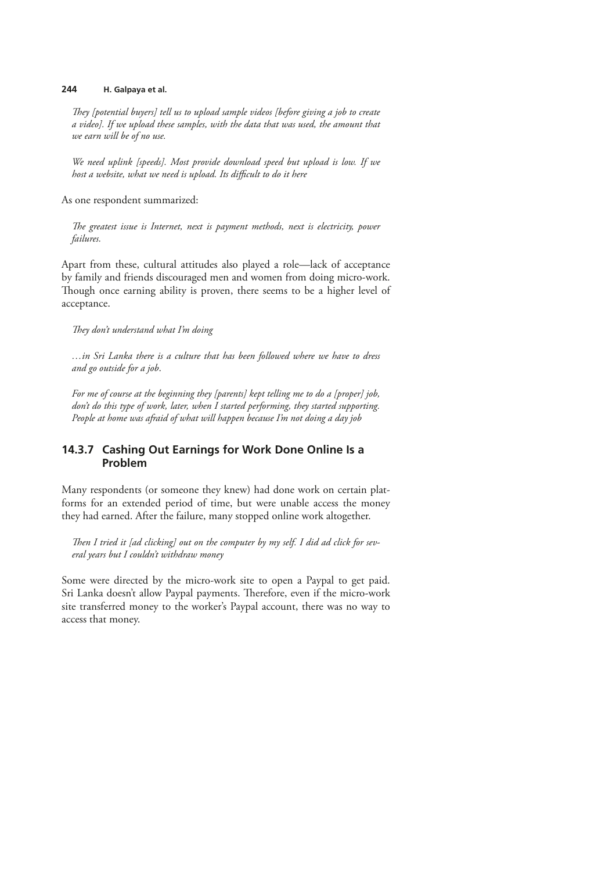*!ey [potential buyers] tell us to upload sample videos [before giving a job to create a video]. If we upload these samples, with the data that was used, the amount that we earn will be of no use.*

*We need uplink [speeds]. Most provide download speed but upload is low. If we host a website, what we need is upload. Its di\$cult to do it here*

As one respondent summarized:

*!e greatest issue is Internet, next is payment methods, next is electricity, power failures.*

Apart from these, cultural attitudes also played a role—lack of acceptance by family and friends discouraged men and women from doing micro-work. Though once earning ability is proven, there seems to be a higher level of acceptance.

*!ey don't understand what I'm doing*

*…in Sri Lanka there is a culture that has been followed where we have to dress and go outside for a job*.

*For me of course at the beginning they [parents] kept telling me to do a [proper] job, don't do this type of work, later, when I started performing, they started supporting. People at home was afraid of what will happen because I'm not doing a day job*

## **14.3.7 Cashing Out Earnings for Work Done Online Is a Problem**

Many respondents (or someone they knew) had done work on certain platforms for an extended period of time, but were unable access the money they had earned. After the failure, many stopped online work altogether.

*!en I tried it [ad clicking] out on the computer by my self. I did ad click for several years but I couldn't withdraw money*

Some were directed by the micro-work site to open a Paypal to get paid. Sri Lanka doesn't allow Paypal payments. Therefore, even if the micro-work site transferred money to the worker's Paypal account, there was no way to access that money.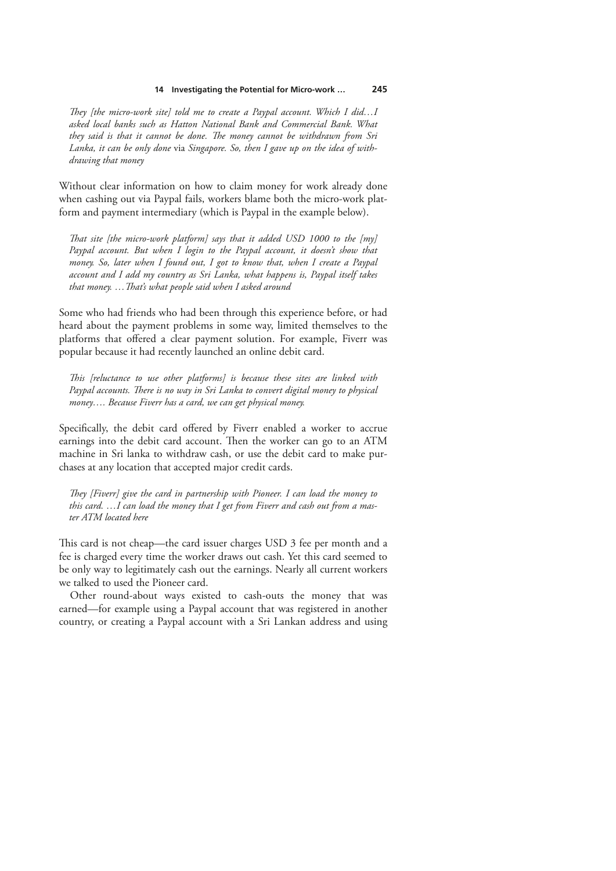*!ey [the micro-work site] told me to create a Paypal account. Which I did…I asked local banks such as Hatton National Bank and Commercial Bank. What they said is that it cannot be done. !e money cannot be withdrawn from Sri Lanka, it can be only done* via *Singapore. So, then I gave up on the idea of withdrawing that money*

Without clear information on how to claim money for work already done when cashing out via Paypal fails, workers blame both the micro-work platform and payment intermediary (which is Paypal in the example below).

*!at site [the micro-work platform] says that it added USD 1000 to the [my]*  Paypal account. But when I login to the Paypal account, it doesn't show that *money. So, later when I found out, I got to know that, when I create a Paypal account and I add my country as Sri Lanka, what happens is, Paypal itself takes that money. …!at's what people said when I asked around*

Some who had friends who had been through this experience before, or had heard about the payment problems in some way, limited themselves to the platforms that offered a clear payment solution. For example, Fiverr was popular because it had recently launched an online debit card.

*!is [reluctance to use other platforms] is because these sites are linked with Paypal accounts. !ere is no way in Sri Lanka to convert digital money to physical money…. Because Fiverr has a card, we can get physical money.*

Specifically, the debit card offered by Fiverr enabled a worker to accrue earnings into the debit card account. Then the worker can go to an ATM machine in Sri lanka to withdraw cash, or use the debit card to make purchases at any location that accepted major credit cards.

*They [Fiverr] give the card in partnership with Pioneer. I can load the money to this card. …I can load the money that I get from Fiverr and cash out from a master ATM located here*

This card is not cheap—the card issuer charges USD 3 fee per month and a fee is charged every time the worker draws out cash. Yet this card seemed to be only way to legitimately cash out the earnings. Nearly all current workers we talked to used the Pioneer card.

Other round-about ways existed to cash-outs the money that was earned—for example using a Paypal account that was registered in another country, or creating a Paypal account with a Sri Lankan address and using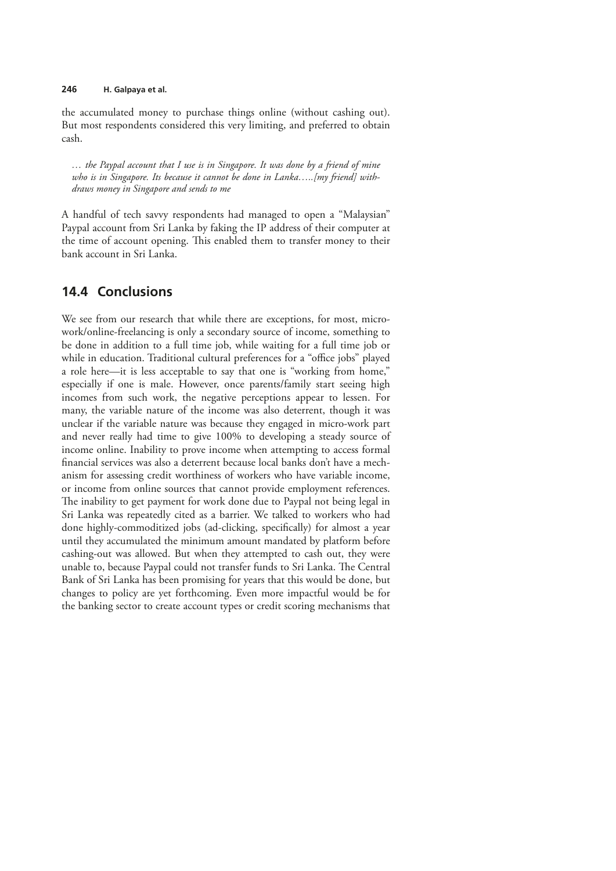the accumulated money to purchase things online (without cashing out). But most respondents considered this very limiting, and preferred to obtain cash.

*… the Paypal account that I use is in Singapore. It was done by a friend of mine who is in Singapore. Its because it cannot be done in Lanka…..[my friend] withdraws money in Singapore and sends to me*

A handful of tech savvy respondents had managed to open a "Malaysian" Paypal account from Sri Lanka by faking the IP address of their computer at the time of account opening. This enabled them to transfer money to their bank account in Sri Lanka.

# **14.4 Conclusions**

We see from our research that while there are exceptions, for most, microwork/online-freelancing is only a secondary source of income, something to be done in addition to a full time job, while waiting for a full time job or while in education. Traditional cultural preferences for a "office jobs" played a role here—it is less acceptable to say that one is "working from home," especially if one is male. However, once parents/family start seeing high incomes from such work, the negative perceptions appear to lessen. For many, the variable nature of the income was also deterrent, though it was unclear if the variable nature was because they engaged in micro-work part and never really had time to give 100% to developing a steady source of income online. Inability to prove income when attempting to access formal financial services was also a deterrent because local banks don't have a mechanism for assessing credit worthiness of workers who have variable income, or income from online sources that cannot provide employment references. The inability to get payment for work done due to Paypal not being legal in Sri Lanka was repeatedly cited as a barrier. We talked to workers who had done highly-commoditized jobs (ad-clicking, specifically) for almost a year until they accumulated the minimum amount mandated by platform before cashing-out was allowed. But when they attempted to cash out, they were unable to, because Paypal could not transfer funds to Sri Lanka. The Central Bank of Sri Lanka has been promising for years that this would be done, but changes to policy are yet forthcoming. Even more impactful would be for the banking sector to create account types or credit scoring mechanisms that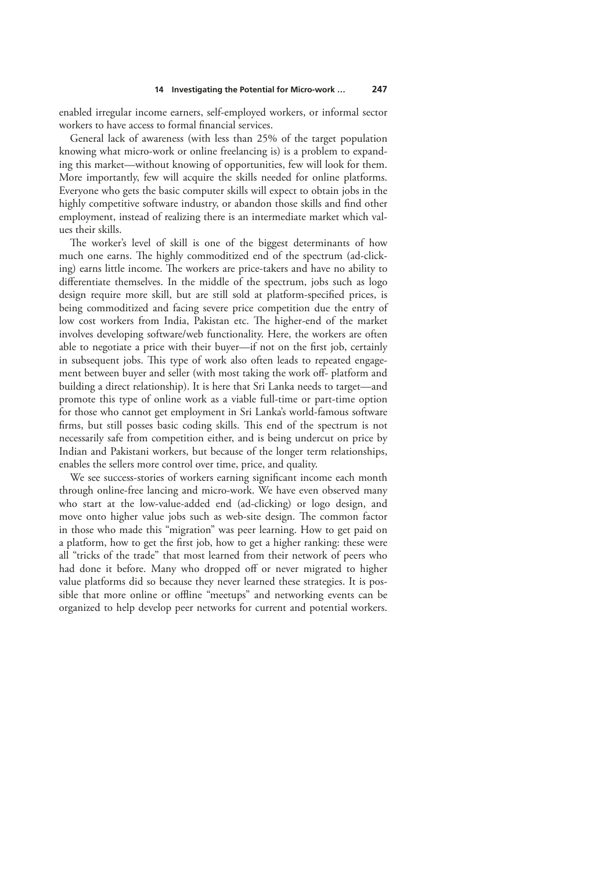enabled irregular income earners, self-employed workers, or informal sector workers to have access to formal financial services.

General lack of awareness (with less than 25% of the target population knowing what micro-work or online freelancing is) is a problem to expanding this market—without knowing of opportunities, few will look for them. More importantly, few will acquire the skills needed for online platforms. Everyone who gets the basic computer skills will expect to obtain jobs in the highly competitive software industry, or abandon those skills and find other employment, instead of realizing there is an intermediate market which values their skills.

The worker's level of skill is one of the biggest determinants of how much one earns. The highly commoditized end of the spectrum (ad-clicking) earns little income. The workers are price-takers and have no ability to differentiate themselves. In the middle of the spectrum, jobs such as logo design require more skill, but are still sold at platform-specified prices, is being commoditized and facing severe price competition due the entry of low cost workers from India, Pakistan etc. The higher-end of the market involves developing software/web functionality. Here, the workers are often able to negotiate a price with their buyer—if not on the first job, certainly in subsequent jobs. This type of work also often leads to repeated engagement between buyer and seller (with most taking the work off-platform and building a direct relationship). It is here that Sri Lanka needs to target—and promote this type of online work as a viable full-time or part-time option for those who cannot get employment in Sri Lanka's world-famous software firms, but still posses basic coding skills. This end of the spectrum is not necessarily safe from competition either, and is being undercut on price by Indian and Pakistani workers, but because of the longer term relationships, enables the sellers more control over time, price, and quality.

We see success-stories of workers earning significant income each month through online-free lancing and micro-work. We have even observed many who start at the low-value-added end (ad-clicking) or logo design, and move onto higher value jobs such as web-site design. The common factor in those who made this "migration" was peer learning. How to get paid on a platform, how to get the first job, how to get a higher ranking: these were all "tricks of the trade" that most learned from their network of peers who had done it before. Many who dropped off or never migrated to higher value platforms did so because they never learned these strategies. It is possible that more online or offline "meetups" and networking events can be organized to help develop peer networks for current and potential workers.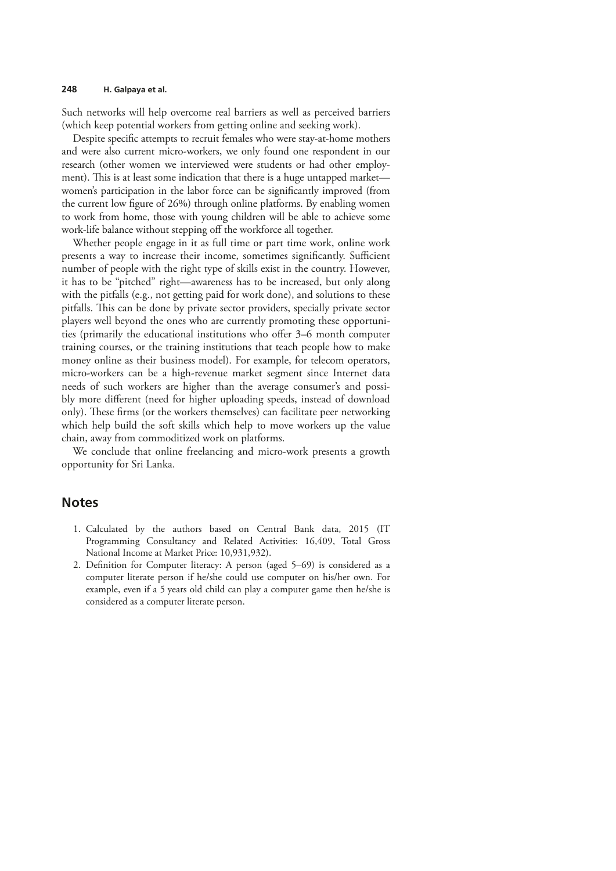Such networks will help overcome real barriers as well as perceived barriers (which keep potential workers from getting online and seeking work).

Despite specific attempts to recruit females who were stay-at-home mothers and were also current micro-workers, we only found one respondent in our research (other women we interviewed were students or had other employment). This is at least some indication that there is a huge untapped market women's participation in the labor force can be significantly improved (from the current low figure of 26%) through online platforms. By enabling women to work from home, those with young children will be able to achieve some work-life balance without stepping off the workforce all together.

Whether people engage in it as full time or part time work, online work presents a way to increase their income, sometimes significantly. Sufficient number of people with the right type of skills exist in the country. However, it has to be "pitched" right—awareness has to be increased, but only along with the pitfalls (e.g., not getting paid for work done), and solutions to these pitfalls. This can be done by private sector providers, specially private sector players well beyond the ones who are currently promoting these opportunities (primarily the educational institutions who offer 3–6 month computer training courses, or the training institutions that teach people how to make money online as their business model). For example, for telecom operators, micro-workers can be a high-revenue market segment since Internet data needs of such workers are higher than the average consumer's and possibly more different (need for higher uploading speeds, instead of download only). These firms (or the workers themselves) can facilitate peer networking which help build the soft skills which help to move workers up the value chain, away from commoditized work on platforms.

We conclude that online freelancing and micro-work presents a growth opportunity for Sri Lanka.

## **Notes**

- 1. Calculated by the authors based on Central Bank data, 2015 (IT Programming Consultancy and Related Activities: 16,409, Total Gross National Income at Market Price: 10,931,932).
- 2. Definition for Computer literacy: A person (aged 5–69) is considered as a computer literate person if he/she could use computer on his/her own. For example, even if a 5 years old child can play a computer game then he/she is considered as a computer literate person.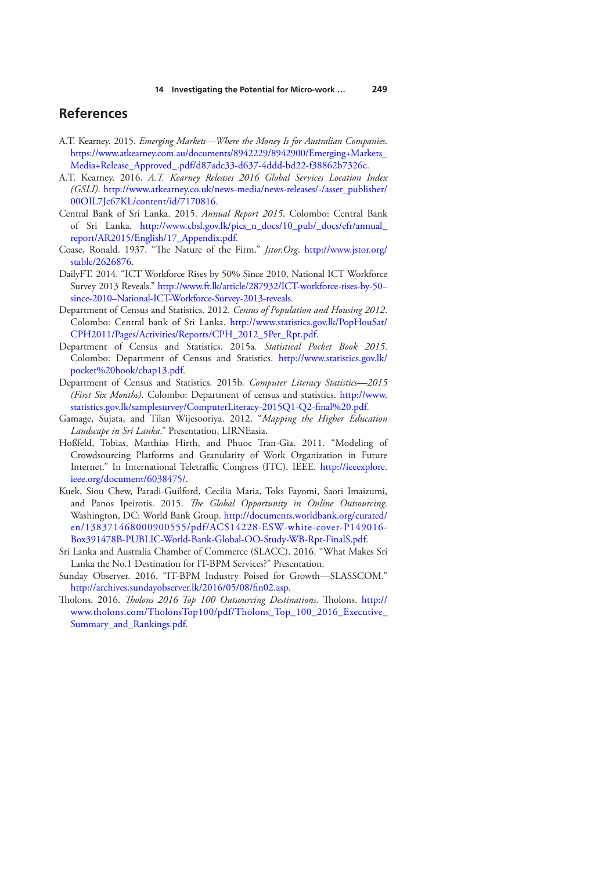## **References**

- A.T. Kearney. 2015. *Emerging Markets—Where the Money Is for Australian Companies*. https://www.atkearney.com.au/documents/8942229/8942900/Emerging+Markets\_ Media+Release\_Approved\_.pdf/d87adc33-d637-4ddd-bd22-f38862b7326c.
- A.T. Kearney. 2016. *A.T. Kearney Releases 2016 Global Services Location Index (GSLI)*. http://www.atkearney.co.uk/news-media/news-releases/-/asset\_publisher/ 00OIL7Jc67KL/content/id/7170816.
- Central Bank of Sri Lanka. 2015. *Annual Report 2015*. Colombo: Central Bank of Sri Lanka. http://www.cbsl.gov.lk/pics\_n\_docs/10\_pub/\_docs/efr/annual\_ report/AR2015/English/17\_Appendix.pdf.
- Coase, Ronald. 1937. "The Nature of the Firm." *Jstor.Org.* http://www.jstor.org/ stable/2626876.
- DailyFT. 2014. "ICT Workforce Rises by 50% Since 2010, National ICT Workforce Survey 2013 Reveals." http://www.ft.lk/article/287932/ICT-workforce-rises-by-50– since-2010–National-ICT-Workforce-Survey-2013-reveals.
- Department of Census and Statistics. 2012. *Census of Population and Housing 2012*. Colombo: Central bank of Sri Lanka. http://www.statistics.gov.lk/PopHouSat/ CPH2011/Pages/Activities/Reports/CPH\_2012\_5Per\_Rpt.pdf.
- Department of Census and Statistics. 2015a. *Statistical Pocket Book 2015*. Colombo: Department of Census and Statistics. http://www.statistics.gov.lk/ pocket%20book/chap13.pdf.
- Department of Census and Statistics. 2015b. *Computer Literacy Statistics—2015 (First Six Months)*. Colombo: Department of census and statistics. http://www. statistics.gov.lk/samplesurvey/ComputerLiteracy-2015Q1-Q2-final%20.pdf.
- Gamage, Sujata, and Tilan Wijesooriya. 2012. "*Mapping the Higher Education Landscape in Sri Lanka*." Presentation, LIRNEasia.
- Hoßfeld, Tobias, Matthias Hirth, and Phuoc Tran-Gia. 2011. "Modeling of Crowdsourcing Platforms and Granularity of Work Organization in Future Internet." In International Teletraffic Congress (ITC). IEEE. http://ieeexplore. ieee.org/document/6038475/.
- Kuek, Siou Chew, Paradi-Guilford, Cecilia Maria, Toks Fayomi, Saori Imaizumi, and Panos Ipeirotis. 2015. *The Global Opportunity in Online Outsourcing*. Washington, DC: World Bank Group. http://documents.worldbank.org/curated/ en/138371468000900555/pdf/ACS14228-ESW-white-cover-P149016- Box391478B-PUBLIC-World-Bank-Global-OO-Study-WB-Rpt-FinalS.pdf.
- Sri Lanka and Australia Chamber of Commerce (SLACC). 2016. "What Makes Sri Lanka the No.1 Destination for IT-BPM Services?" Presentation.
- Sunday Observer. 2016. "IT-BPM Industry Poised for Growth—SLASSCOM." http://archives.sundayobserver.lk/2016/05/08/fin02.asp.
- Tholons. 2016. *Tholons 2016 Top 100 Outsourcing Destinations*. Tholons. http:// www.tholons.com/TholonsTop100/pdf/Tholons\_Top\_100\_2016\_Executive\_ Summary\_and\_Rankings.pdf.